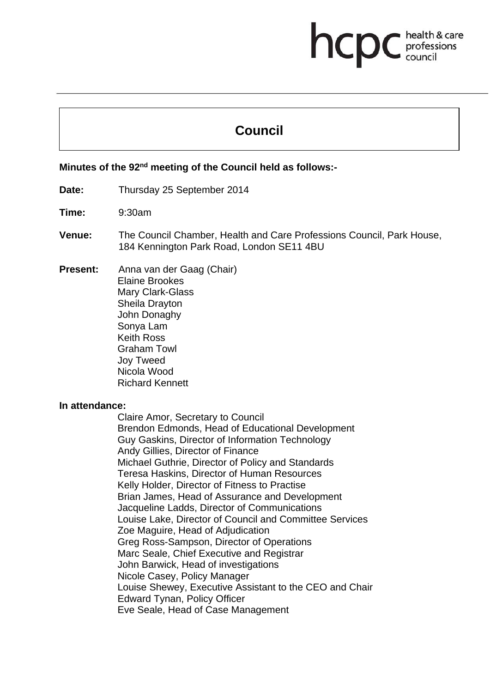# **health & care**

# **Council**

# **Minutes of the 92nd meeting of the Council held as follows:-**

- **Date:** Thursday 25 September 2014
- **Time:** 9:30am
- **Venue:** The Council Chamber, Health and Care Professions Council, Park House, 184 Kennington Park Road, London SE11 4BU
- **Present:** Anna van der Gaag (Chair) Elaine Brookes Mary Clark-Glass Sheila Drayton John Donaghy Sonya Lam Keith Ross Graham Towl Joy Tweed Nicola Wood Richard Kennett

#### **In attendance:**

Claire Amor, Secretary to Council Brendon Edmonds, Head of Educational Development Guy Gaskins, Director of Information Technology Andy Gillies, Director of Finance Michael Guthrie, Director of Policy and Standards Teresa Haskins, Director of Human Resources Kelly Holder, Director of Fitness to Practise Brian James, Head of Assurance and Development Jacqueline Ladds, Director of Communications Louise Lake, Director of Council and Committee Services Zoe Maguire, Head of Adjudication Greg Ross-Sampson, Director of Operations Marc Seale, Chief Executive and Registrar John Barwick, Head of investigations Nicole Casey, Policy Manager Louise Shewey, Executive Assistant to the CEO and Chair Edward Tynan, Policy Officer Eve Seale, Head of Case Management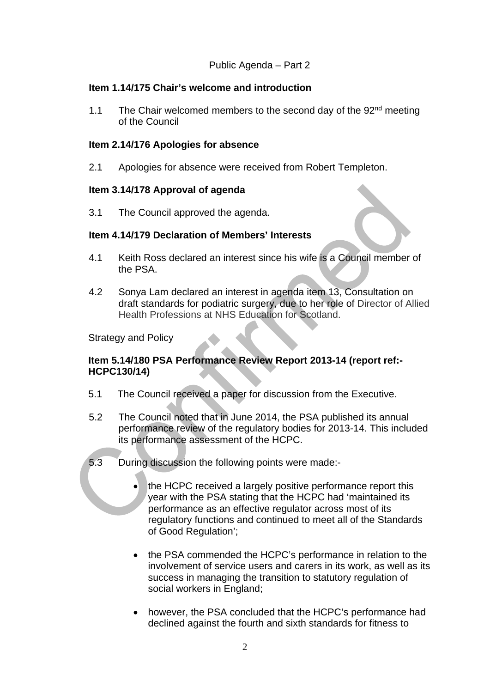# **Item 1.14/175 Chair's welcome and introduction**

1.1 The Chair welcomed members to the second day of the  $92<sup>nd</sup>$  meeting of the Council

# **Item 2.14/176 Apologies for absence**

2.1 Apologies for absence were received from Robert Templeton.

#### **Item 3.14/178 Approval of agenda**

3.1 The Council approved the agenda.

# **Item 4.14/179 Declaration of Members' Interests**

- 4.1 Keith Ross declared an interest since his wife is a Council member of the PSA.
- 4.2 Sonya Lam declared an interest in agenda item 13, Consultation on draft standards for podiatric surgery, due to her role of Director of Allied Health Professions at NHS Education for Scotland.

Strategy and Policy

# **Item 5.14/180 PSA Performance Review Report 2013-14 (report ref:- HCPC130/14)**

- 5.1 The Council received a paper for discussion from the Executive.
- 5.2 The Council noted that in June 2014, the PSA published its annual performance review of the regulatory bodies for 2013-14. This included its performance assessment of the HCPC.
- 5.3 During discussion the following points were made:
	- the HCPC received a largely positive performance report this year with the PSA stating that the HCPC had 'maintained its performance as an effective regulator across most of its regulatory functions and continued to meet all of the Standards of Good Regulation';
	- the PSA commended the HCPC's performance in relation to the involvement of service users and carers in its work, as well as its success in managing the transition to statutory regulation of social workers in England;
	- however, the PSA concluded that the HCPC's performance had declined against the fourth and sixth standards for fitness to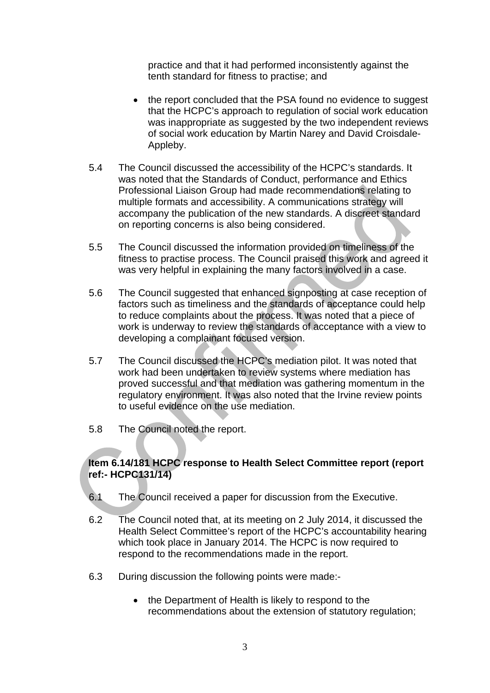practice and that it had performed inconsistently against the tenth standard for fitness to practise; and

- the report concluded that the PSA found no evidence to suggest that the HCPC's approach to regulation of social work education was inappropriate as suggested by the two independent reviews of social work education by Martin Narey and David Croisdale-Appleby.
- 5.4 The Council discussed the accessibility of the HCPC's standards. It was noted that the Standards of Conduct, performance and Ethics Professional Liaison Group had made recommendations relating to multiple formats and accessibility. A communications strategy will accompany the publication of the new standards. A discreet standard on reporting concerns is also being considered.
- 5.5 The Council discussed the information provided on timeliness of the fitness to practise process. The Council praised this work and agreed it was very helpful in explaining the many factors involved in a case.
- 5.6 The Council suggested that enhanced signposting at case reception of factors such as timeliness and the standards of acceptance could help to reduce complaints about the process. It was noted that a piece of work is underway to review the standards of acceptance with a view to developing a complainant focused version.
- 5.7 The Council discussed the HCPC's mediation pilot. It was noted that work had been undertaken to review systems where mediation has proved successful and that mediation was gathering momentum in the regulatory environment. It was also noted that the Irvine review points to useful evidence on the use mediation.
- 5.8 The Council noted the report.

# **Item 6.14/181 HCPC response to Health Select Committee report (report ref:- HCPC131/14)**

- 6.1 The Council received a paper for discussion from the Executive.
- 6.2 The Council noted that, at its meeting on 2 July 2014, it discussed the Health Select Committee's report of the HCPC's accountability hearing which took place in January 2014. The HCPC is now required to respond to the recommendations made in the report.
- 6.3 During discussion the following points were made:-
	- the Department of Health is likely to respond to the recommendations about the extension of statutory regulation;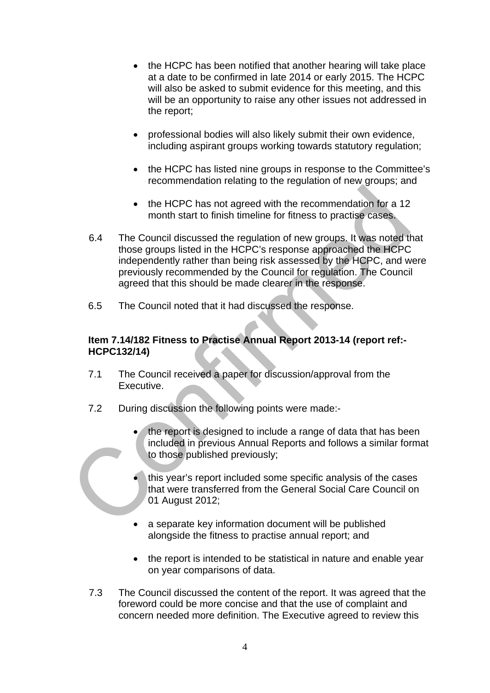- the HCPC has been notified that another hearing will take place at a date to be confirmed in late 2014 or early 2015. The HCPC will also be asked to submit evidence for this meeting, and this will be an opportunity to raise any other issues not addressed in the report;
- professional bodies will also likely submit their own evidence, including aspirant groups working towards statutory regulation;
- the HCPC has listed nine groups in response to the Committee's recommendation relating to the regulation of new groups; and
- the HCPC has not agreed with the recommendation for a 12 month start to finish timeline for fitness to practise cases.
- 6.4 The Council discussed the regulation of new groups. It was noted that those groups listed in the HCPC's response approached the HCPC independently rather than being risk assessed by the HCPC, and were previously recommended by the Council for regulation. The Council agreed that this should be made clearer in the response.
- 6.5 The Council noted that it had discussed the response.

# **Item 7.14/182 Fitness to Practise Annual Report 2013-14 (report ref:- HCPC132/14)**

- 7.1 The Council received a paper for discussion/approval from the Executive.
- 7.2 During discussion the following points were made:
	- the report is designed to include a range of data that has been included in previous Annual Reports and follows a similar format to those published previously;
	- this year's report included some specific analysis of the cases that were transferred from the General Social Care Council on 01 August 2012;
	- a separate key information document will be published alongside the fitness to practise annual report; and
	- the report is intended to be statistical in nature and enable year on year comparisons of data.
- 7.3 The Council discussed the content of the report. It was agreed that the foreword could be more concise and that the use of complaint and concern needed more definition. The Executive agreed to review this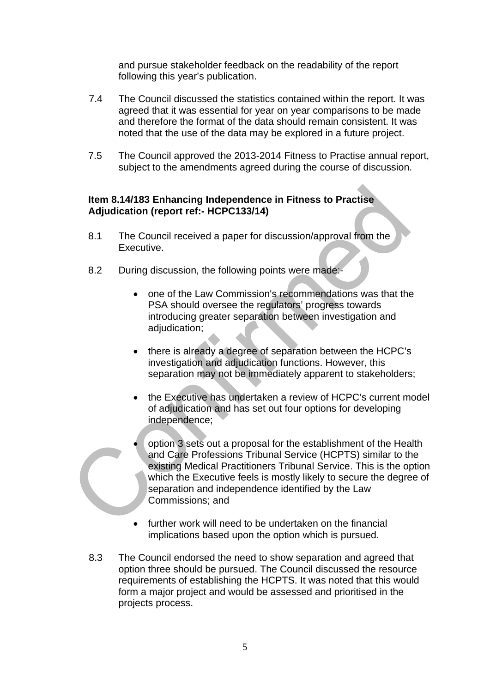and pursue stakeholder feedback on the readability of the report following this year's publication.

- 7.4 The Council discussed the statistics contained within the report. It was agreed that it was essential for year on year comparisons to be made and therefore the format of the data should remain consistent. It was noted that the use of the data may be explored in a future project.
- 7.5 The Council approved the 2013-2014 Fitness to Practise annual report, subject to the amendments agreed during the course of discussion.

# **Item 8.14/183 Enhancing Independence in Fitness to Practise Adjudication (report ref:- HCPC133/14)**

- 8.1 The Council received a paper for discussion/approval from the Executive.
- 8.2 During discussion, the following points were made:
	- one of the Law Commission's recommendations was that the PSA should oversee the regulators' progress towards introducing greater separation between investigation and adjudication;
	- there is already a degree of separation between the HCPC's investigation and adjudication functions. However, this separation may not be immediately apparent to stakeholders;
	- the Executive has undertaken a review of HCPC's current model of adjudication and has set out four options for developing independence;
	- option 3 sets out a proposal for the establishment of the Health and Care Professions Tribunal Service (HCPTS) similar to the existing Medical Practitioners Tribunal Service. This is the option which the Executive feels is mostly likely to secure the degree of separation and independence identified by the Law Commissions; and
	- further work will need to be undertaken on the financial implications based upon the option which is pursued.
- 8.3 The Council endorsed the need to show separation and agreed that option three should be pursued. The Council discussed the resource requirements of establishing the HCPTS. It was noted that this would form a major project and would be assessed and prioritised in the projects process.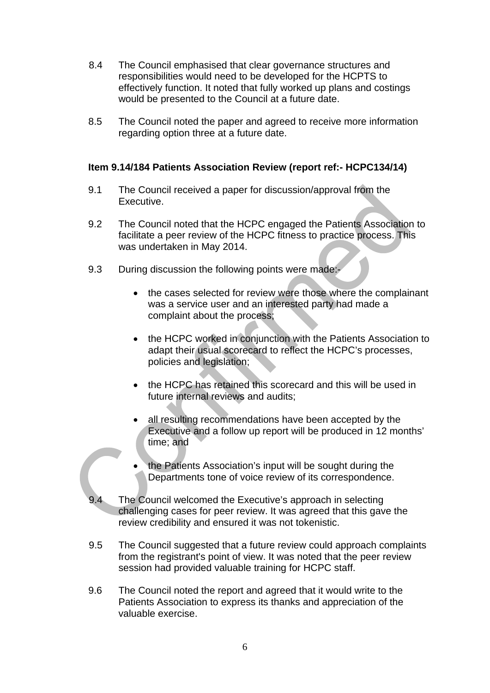- 8.4 The Council emphasised that clear governance structures and responsibilities would need to be developed for the HCPTS to effectively function. It noted that fully worked up plans and costings would be presented to the Council at a future date.
- 8.5 The Council noted the paper and agreed to receive more information regarding option three at a future date.

# **Item 9.14/184 Patients Association Review (report ref:- HCPC134/14)**

- 9.1 The Council received a paper for discussion/approval from the Executive.
- 9.2 The Council noted that the HCPC engaged the Patients Association to facilitate a peer review of the HCPC fitness to practice process. This was undertaken in May 2014.
- 9.3 During discussion the following points were made:
	- the cases selected for review were those where the complainant was a service user and an interested party had made a complaint about the process;
	- the HCPC worked in conjunction with the Patients Association to adapt their usual scorecard to reflect the HCPC's processes, policies and legislation;
	- the HCPC has retained this scorecard and this will be used in future internal reviews and audits;
	- all resulting recommendations have been accepted by the Executive and a follow up report will be produced in 12 months' time; and
	- the Patients Association's input will be sought during the Departments tone of voice review of its correspondence.
- 9.4 The Council welcomed the Executive's approach in selecting challenging cases for peer review. It was agreed that this gave the review credibility and ensured it was not tokenistic.
- 9.5 The Council suggested that a future review could approach complaints from the registrant's point of view. It was noted that the peer review session had provided valuable training for HCPC staff.
- 9.6 The Council noted the report and agreed that it would write to the Patients Association to express its thanks and appreciation of the valuable exercise.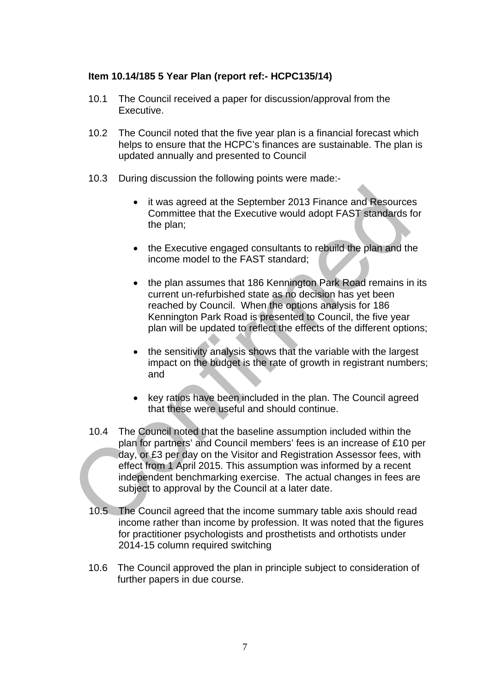# **Item 10.14/185 5 Year Plan (report ref:- HCPC135/14)**

- 10.1 The Council received a paper for discussion/approval from the Executive.
- 10.2 The Council noted that the five year plan is a financial forecast which helps to ensure that the HCPC's finances are sustainable. The plan is updated annually and presented to Council
- 10.3 During discussion the following points were made:-
	- it was agreed at the September 2013 Finance and Resources Committee that the Executive would adopt FAST standards for the plan;
	- the Executive engaged consultants to rebuild the plan and the income model to the FAST standard;
	- the plan assumes that 186 Kennington Park Road remains in its current un-refurbished state as no decision has yet been reached by Council. When the options analysis for 186 Kennington Park Road is presented to Council, the five year plan will be updated to reflect the effects of the different options;
	- the sensitivity analysis shows that the variable with the largest impact on the budget is the rate of growth in registrant numbers; and
	- key ratios have been included in the plan. The Council agreed that these were useful and should continue.
- 10.4 The Council noted that the baseline assumption included within the plan for partners' and Council members' fees is an increase of £10 per day, or £3 per day on the Visitor and Registration Assessor fees, with effect from 1 April 2015. This assumption was informed by a recent independent benchmarking exercise. The actual changes in fees are subject to approval by the Council at a later date.
- 10.5 The Council agreed that the income summary table axis should read income rather than income by profession. It was noted that the figures for practitioner psychologists and prosthetists and orthotists under 2014-15 column required switching
- 10.6 The Council approved the plan in principle subject to consideration of further papers in due course.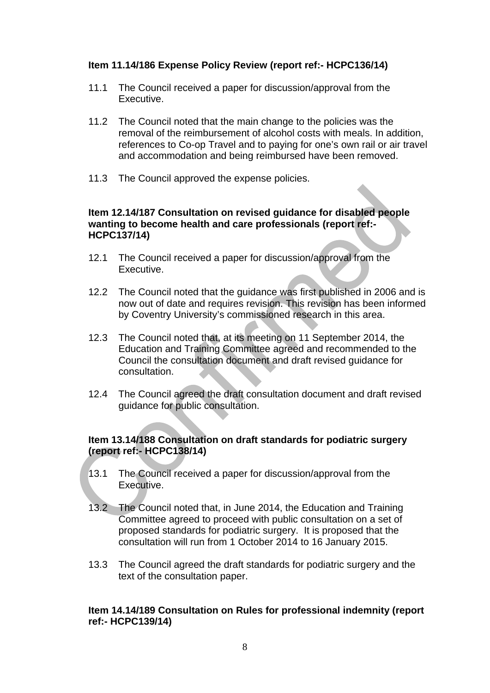# **Item 11.14/186 Expense Policy Review (report ref:- HCPC136/14)**

- 11.1 The Council received a paper for discussion/approval from the Executive.
- 11.2 The Council noted that the main change to the policies was the removal of the reimbursement of alcohol costs with meals. In addition, references to Co-op Travel and to paying for one's own rail or air travel and accommodation and being reimbursed have been removed.
- 11.3 The Council approved the expense policies.

# **Item 12.14/187 Consultation on revised guidance for disabled people wanting to become health and care professionals (report ref:- HCPC137/14)**

- 12.1 The Council received a paper for discussion/approval from the Executive.
- 12.2 The Council noted that the guidance was first published in 2006 and is now out of date and requires revision. This revision has been informed by Coventry University's commissioned research in this area.
- 12.3 The Council noted that, at its meeting on 11 September 2014, the Education and Training Committee agreed and recommended to the Council the consultation document and draft revised guidance for consultation.
- 12.4 The Council agreed the draft consultation document and draft revised guidance for public consultation.

# **Item 13.14/188 Consultation on draft standards for podiatric surgery (report ref:- HCPC138/14)**

- 13.1 The Council received a paper for discussion/approval from the Executive.
- 13.2 The Council noted that, in June 2014, the Education and Training Committee agreed to proceed with public consultation on a set of proposed standards for podiatric surgery. It is proposed that the consultation will run from 1 October 2014 to 16 January 2015.
- 13.3 The Council agreed the draft standards for podiatric surgery and the text of the consultation paper.

# **Item 14.14/189 Consultation on Rules for professional indemnity (report ref:- HCPC139/14)**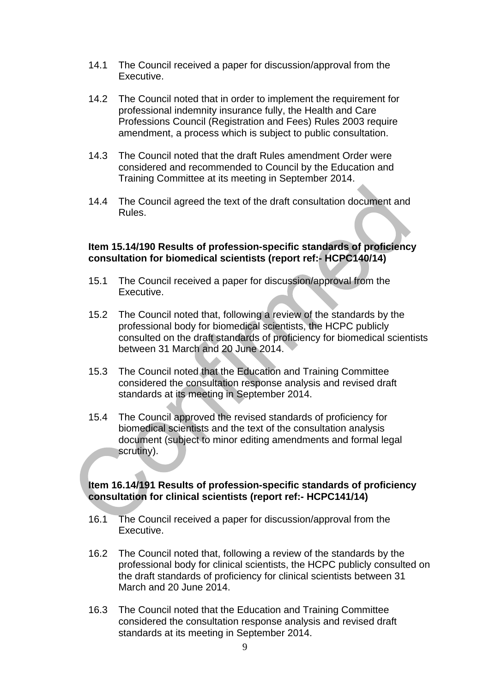- 14.1 The Council received a paper for discussion/approval from the Executive.
- 14.2 The Council noted that in order to implement the requirement for professional indemnity insurance fully, the Health and Care Professions Council (Registration and Fees) Rules 2003 require amendment, a process which is subject to public consultation.
- 14.3 The Council noted that the draft Rules amendment Order were considered and recommended to Council by the Education and Training Committee at its meeting in September 2014.
- 14.4 The Council agreed the text of the draft consultation document and Rules.

# **Item 15.14/190 Results of profession-specific standards of proficiency consultation for biomedical scientists (report ref:- HCPC140/14)**

- 15.1 The Council received a paper for discussion/approval from the Executive.
- 15.2 The Council noted that, following a review of the standards by the professional body for biomedical scientists, the HCPC publicly consulted on the draft standards of proficiency for biomedical scientists between 31 March and 20 June 2014.
- 15.3 The Council noted that the Education and Training Committee considered the consultation response analysis and revised draft standards at its meeting in September 2014.
- 15.4 The Council approved the revised standards of proficiency for biomedical scientists and the text of the consultation analysis document (subject to minor editing amendments and formal legal scrutiny).

# **Item 16.14/191 Results of profession-specific standards of proficiency consultation for clinical scientists (report ref:- HCPC141/14)**

- 16.1 The Council received a paper for discussion/approval from the Executive.
- 16.2 The Council noted that, following a review of the standards by the professional body for clinical scientists, the HCPC publicly consulted on the draft standards of proficiency for clinical scientists between 31 March and 20 June 2014.
- 16.3 The Council noted that the Education and Training Committee considered the consultation response analysis and revised draft standards at its meeting in September 2014.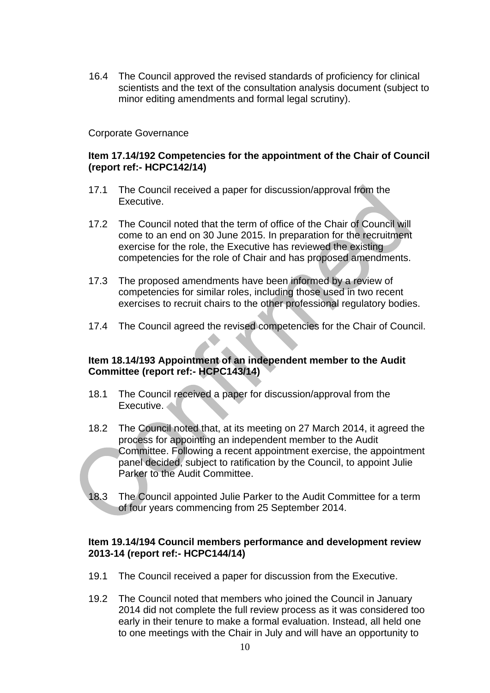16.4 The Council approved the revised standards of proficiency for clinical scientists and the text of the consultation analysis document (subject to minor editing amendments and formal legal scrutiny).

# Corporate Governance

# **Item 17.14/192 Competencies for the appointment of the Chair of Council (report ref:- HCPC142/14)**

- 17.1 The Council received a paper for discussion/approval from the Executive.
- 17.2 The Council noted that the term of office of the Chair of Council will come to an end on 30 June 2015. In preparation for the recruitment exercise for the role, the Executive has reviewed the existing competencies for the role of Chair and has proposed amendments.
- 17.3 The proposed amendments have been informed by a review of competencies for similar roles, including those used in two recent exercises to recruit chairs to the other professional regulatory bodies.
- 17.4 The Council agreed the revised competencies for the Chair of Council.

# **Item 18.14/193 Appointment of an independent member to the Audit Committee (report ref:- HCPC143/14)**

- 18.1 The Council received a paper for discussion/approval from the Executive.
- 18.2 The Council noted that, at its meeting on 27 March 2014, it agreed the process for appointing an independent member to the Audit Committee. Following a recent appointment exercise, the appointment panel decided, subject to ratification by the Council, to appoint Julie Parker to the Audit Committee.
- 18.3 The Council appointed Julie Parker to the Audit Committee for a term of four years commencing from 25 September 2014.

#### **Item 19.14/194 Council members performance and development review 2013-14 (report ref:- HCPC144/14)**

- 19.1 The Council received a paper for discussion from the Executive.
- 19.2 The Council noted that members who joined the Council in January 2014 did not complete the full review process as it was considered too early in their tenure to make a formal evaluation. Instead, all held one to one meetings with the Chair in July and will have an opportunity to